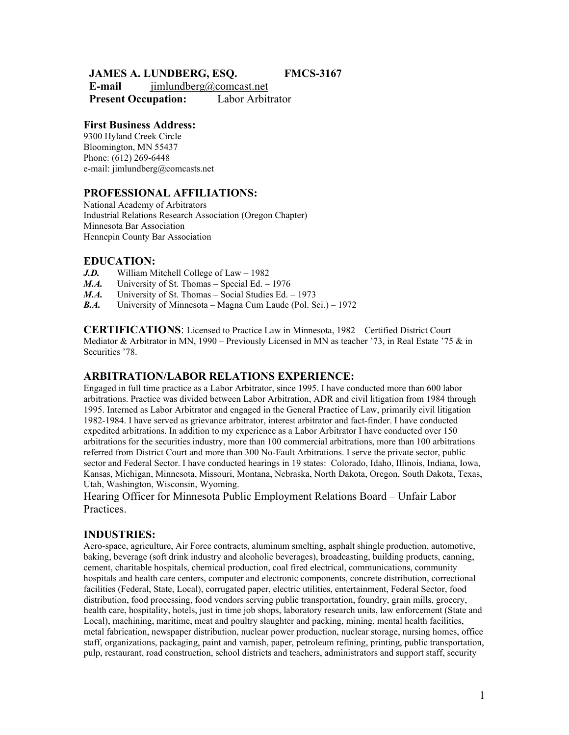# **JAMES A. LUNDBERG, ESQ. FMCS-3167**

**E-mail** [jimlundberg@comcast.net](mailto:jimlundberg@comcast.net)  **Present Occupation:** Labor Arbitrator

### **First Business Address:**

9300 Hyland Creek Circle Bloomington, MN 55437 Phone: (612) 269-6448 e-mail: jimlundberg@comcasts.net

## **PROFESSIONAL AFFILIATIONS:**

National Academy of Arbitrators Industrial Relations Research Association (Oregon Chapter) Minnesota Bar Association Hennepin County Bar Association

### **EDUCATION:**

- *J.D.* William Mitchell College of Law 1982
- *M.A.* University of St. Thomas Special Ed. 1976
- *M.A.* University of St. Thomas Social Studies Ed. 1973
- *B.A.* University of Minnesota Magna Cum Laude (Pol. Sci.) 1972

**CERTIFICATIONS**: Licensed to Practice Law in Minnesota, 1982 – Certified District Court Mediator & Arbitrator in MN, 1990 – Previously Licensed in MN as teacher '73, in Real Estate '75 & in Securities '78.

### **ARBITRATION/LABOR RELATIONS EXPERIENCE:**

Engaged in full time practice as a Labor Arbitrator, since 1995. I have conducted more than 600 labor arbitrations. Practice was divided between Labor Arbitration, ADR and civil litigation from 1984 through 1995. Interned as Labor Arbitrator and engaged in the General Practice of Law, primarily civil litigation 1982-1984. I have served as grievance arbitrator, interest arbitrator and fact-finder. I have conducted expedited arbitrations. In addition to my experience as a Labor Arbitrator I have conducted over 150 arbitrations for the securities industry, more than 100 commercial arbitrations, more than 100 arbitrations referred from District Court and more than 300 No-Fault Arbitrations. I serve the private sector, public sector and Federal Sector. I have conducted hearings in 19 states: Colorado, Idaho, Illinois, Indiana, Iowa, Kansas, Michigan, Minnesota, Missouri, Montana, Nebraska, North Dakota, Oregon, South Dakota, Texas, Utah, Washington, Wisconsin, Wyoming.

Hearing Officer for Minnesota Public Employment Relations Board – Unfair Labor Practices.

### **INDUSTRIES:**

Aero-space, agriculture, Air Force contracts, aluminum smelting, asphalt shingle production, automotive, baking, beverage (soft drink industry and alcoholic beverages), broadcasting, building products, canning, cement, charitable hospitals, chemical production, coal fired electrical, communications, community hospitals and health care centers, computer and electronic components, concrete distribution, correctional facilities (Federal, State, Local), corrugated paper, electric utilities, entertainment, Federal Sector, food distribution, food processing, food vendors serving public transportation, foundry, grain mills, grocery, health care, hospitality, hotels, just in time job shops, laboratory research units, law enforcement (State and Local), machining, maritime, meat and poultry slaughter and packing, mining, mental health facilities, metal fabrication, newspaper distribution, nuclear power production, nuclear storage, nursing homes, office staff, organizations, packaging, paint and varnish, paper, petroleum refining, printing, public transportation, pulp, restaurant, road construction, school districts and teachers, administrators and support staff, security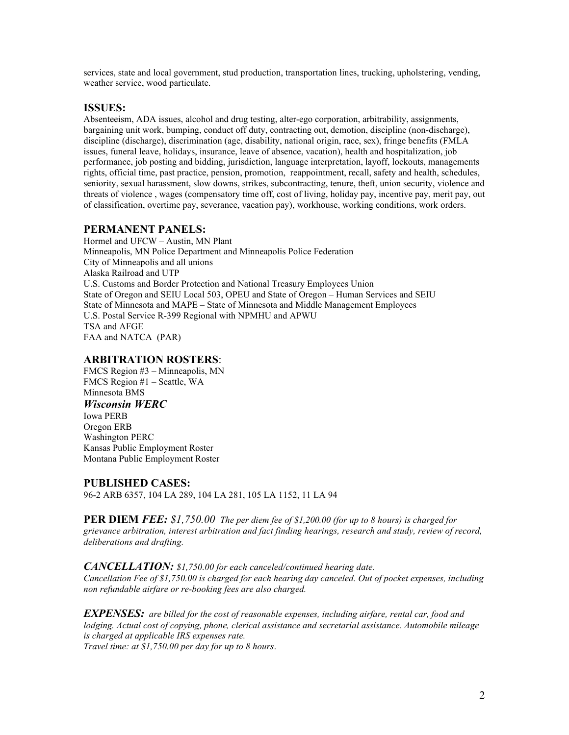services, state and local government, stud production, transportation lines, trucking, upholstering, vending, weather service, wood particulate.

### **ISSUES:**

Absenteeism, ADA issues, alcohol and drug testing, alter-ego corporation, arbitrability, assignments, bargaining unit work, bumping, conduct off duty, contracting out, demotion, discipline (non-discharge), discipline (discharge), discrimination (age, disability, national origin, race, sex), fringe benefits (FMLA issues, funeral leave, holidays, insurance, leave of absence, vacation), health and hospitalization, job performance, job posting and bidding, jurisdiction, language interpretation, layoff, lockouts, managements rights, official time, past practice, pension, promotion, reappointment, recall, safety and health, schedules, seniority, sexual harassment, slow downs, strikes, subcontracting, tenure, theft, union security, violence and threats of violence , wages (compensatory time off, cost of living, holiday pay, incentive pay, merit pay, out of classification, overtime pay, severance, vacation pay), workhouse, working conditions, work orders.

# **PERMANENT PANELS:**

Hormel and UFCW – Austin, MN Plant Minneapolis, MN Police Department and Minneapolis Police Federation City of Minneapolis and all unions Alaska Railroad and UTP U.S. Customs and Border Protection and National Treasury Employees Union State of Oregon and SEIU Local 503, OPEU and State of Oregon – Human Services and SEIU State of Minnesota and MAPE – State of Minnesota and Middle Management Employees U.S. Postal Service R-399 Regional with NPMHU and APWU TSA and AFGE FAA and NATCA (PAR)

#### **ARBITRATION ROSTERS**:

FMCS Region #3 – Minneapolis, MN FMCS Region #1 – Seattle, WA Minnesota BMS

# *Wisconsin WERC*

Iowa PERB Oregon ERB Washington PERC Kansas Public Employment Roster Montana Public Employment Roster

#### **PUBLISHED CASES:**

96-2 ARB 6357, 104 LA 289, 104 LA 281, 105 LA 1152, 11 LA 94

**PER DIEM** *FEE: \$1,750.00 The per diem fee of \$1,200.00 (for up to 8 hours) is charged for grievance arbitration, interest arbitration and fact finding hearings, research and study, review of record, deliberations and drafting.*

#### *CANCELLATION: \$1,750.00 for each canceled/continued hearing date. Cancellation Fee of \$1,750.00 is charged for each hearing day canceled. Out of pocket expenses, including non refundable airfare or re-booking fees are also charged.*

*EXPENSES: are billed for the cost of reasonable expenses, including airfare, rental car, food and lodging. Actual cost of copying, phone, clerical assistance and secretarial assistance. Automobile mileage is charged at applicable IRS expenses rate. Travel time: at \$1,750.00 per day for up to 8 hours*.